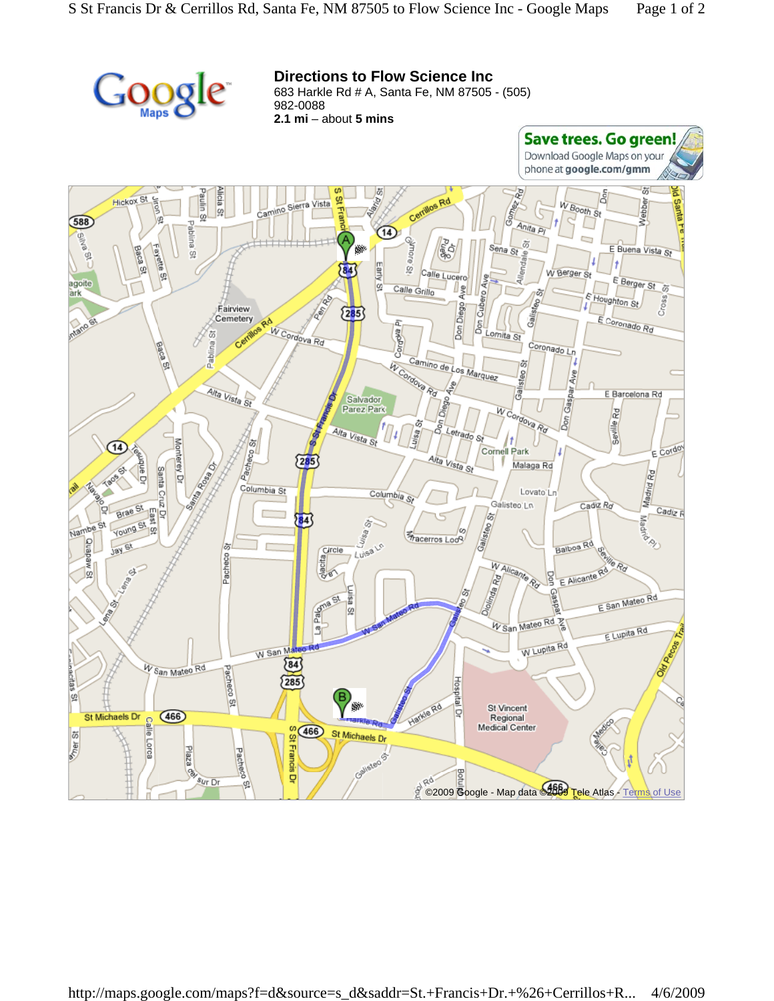